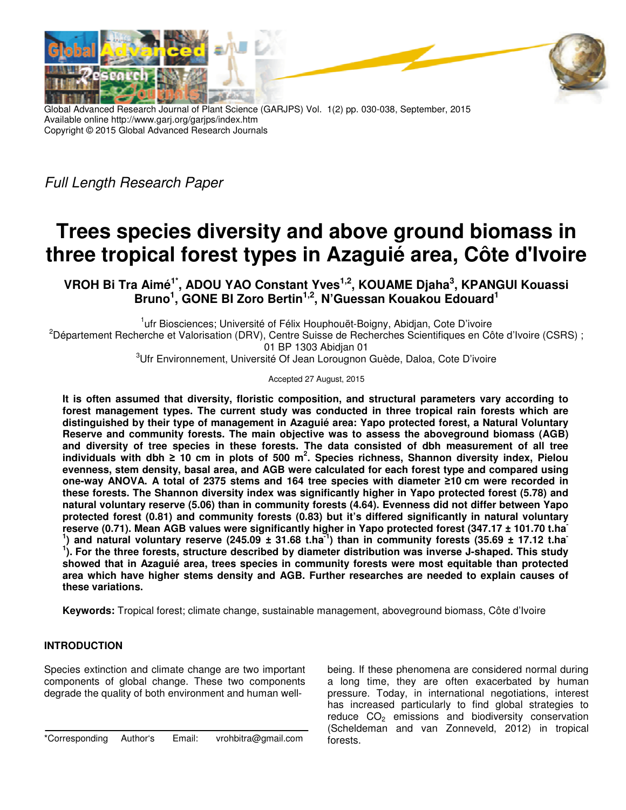

Global Advanced Research Journal of Plant Science (GARJPS) Vol. 1(2) pp. 030-038, September, 2015 Available online http://www.garj.org/garjps/index.htm Copyright © 2015 Global Advanced Research Journals

Full Length Research Paper

# **Trees species diversity and above ground biomass in three tropical forest types in Azaguié area, Côte d'Ivoire**

**VROH Bi Tra Aimé1\*, ADOU YAO Constant Yves1,2, KOUAME Djaha<sup>3</sup> , KPANGUI Kouassi Bruno<sup>1</sup> , GONE BI Zoro Bertin1,2, N'Guessan Kouakou Edouard<sup>1</sup>**

<sup>1</sup>ufr Biosciences; Université of Félix Houphouët-Boigny, Abidjan, Cote D'ivoire <sup>2</sup>Département Recherche et Valorisation (DRV), Centre Suisse de Recherches Scientifiques en Côte d'Ivoire (CSRS) ; 01 BP 1303 Abidjan 01

<sup>3</sup>Ufr Environnement, Université Of Jean Lorougnon Guède, Daloa, Cote D'ivoire

Accepted 27 August, 2015

**It is often assumed that diversity, floristic composition, and structural parameters vary according to forest management types. The current study was conducted in three tropical rain forests which are distinguished by their type of management in Azaguié area: Yapo protected forest, a Natural Voluntary Reserve and community forests. The main objective was to assess the aboveground biomass (AGB) and diversity of tree species in these forests. The data consisted of dbh measurement of all tree individuals with dbh ≥ 10 cm in plots of 500 m<sup>2</sup> . Species richness, Shannon diversity index, Pielou evenness, stem density, basal area, and AGB were calculated for each forest type and compared using one-way ANOVA. A total of 2375 stems and 164 tree species with diameter ≥10 cm were recorded in these forests. The Shannon diversity index was significantly higher in Yapo protected forest (5.78) and natural voluntary reserve (5.06) than in community forests (4.64). Evenness did not differ between Yapo protected forest (0.81) and community forests (0.83) but it's differed significantly in natural voluntary reserve (0.71). Mean AGB values were significantly higher in Yapo protected forest (347.17 ± 101.70 t.ha-**<sup>1</sup>) and natural voluntary reserve (245.09  $\pm$  31.68 t.ha<sup>-1</sup>) than in community forests (35.69  $\pm$  17.12 t.ha <sup>1</sup>). For the three forests, structure described by diameter distribution was inverse J-shaped. This study **showed that in Azaguié area, trees species in community forests were most equitable than protected area which have higher stems density and AGB. Further researches are needed to explain causes of these variations.** 

**Keywords:** Tropical forest; climate change, sustainable management, aboveground biomass, Côte d'Ivoire

## **INTRODUCTION**

Species extinction and climate change are two important components of global change. These two components degrade the quality of both environment and human well-

\*Corresponding Author's Email: vrohbitra@gmail.com

being. If these phenomena are considered normal during a long time, they are often exacerbated by human pressure. Today, in international negotiations, interest has increased particularly to find global strategies to reduce  $CO<sub>2</sub>$  emissions and biodiversity conservation (Scheldeman and van Zonneveld, 2012) in tropical forests.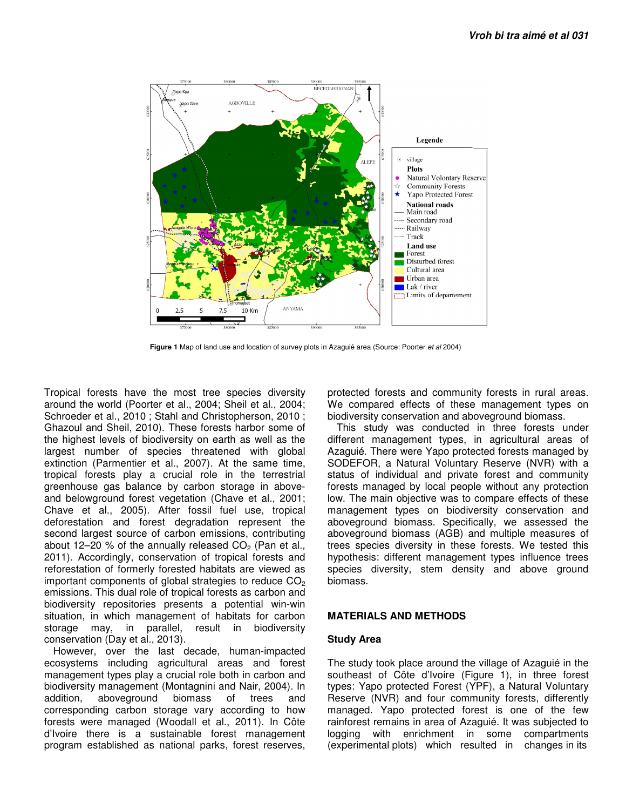

**Figure 1** Map of land use and location of survey plots in Azaguié area (Source: Poorter et al 2004)

Tropical forests have the most tree species diversity around the world (Poorter et al., 2004; Sheil et al., 2004; Schroeder et al., 2010 ; Stahl and Christopherson, 2010 ; Ghazoul and Sheil, 2010). These forests harbor some of the highest levels of biodiversity on earth as well as the largest number of species threatened with global extinction (Parmentier et al., 2007). At the same time, tropical forests play a crucial role in the terrestrial greenhouse gas balance by carbon storage in aboveand belowground forest vegetation (Chave et al., 2001; Chave et al., 2005). After fossil fuel use, tropical deforestation and forest degradation represent the second largest source of carbon emissions, contributing about 12–20 % of the annually released  $CO<sub>2</sub>$  (Pan et al., 2011). Accordingly, conservation of tropical forests and reforestation of formerly forested habitats are viewed as important components of global strategies to reduce  $CO<sub>2</sub>$ emissions. This dual role of tropical forests as carbon and biodiversity repositories presents a potential win-win situation, in which management of habitats for carbon storage may, in parallel, result in biodiversity conservation (Day et al., 2013).

However, over the last decade, human-impacted ecosystems including agricultural areas and forest management types play a crucial role both in carbon and biodiversity management (Montagnini and Nair, 2004). In addition, aboveground biomass of trees and corresponding carbon storage vary according to how forests were managed (Woodall et al., 2011). In Côte d'Ivoire there is a sustainable forest management program established as national parks, forest reserves,

protected forests and community forests in rural areas. We compared effects of these management types on biodiversity conservation and aboveground biomass.

This study was conducted in three forests under different management types, in agricultural areas of Azaguié. There were Yapo protected forests managed by SODEFOR, a Natural Voluntary Reserve (NVR) with a status of individual and private forest and community forests managed by local people without any protection low. The main objective was to compare effects of these management types on biodiversity conservation and aboveground biomass. Specifically, we assessed the aboveground biomass (AGB) and multiple measures of trees species diversity in these forests. We tested this hypothesis: different management types influence trees species diversity, stem density and above ground biomass.

### **MATERIALS AND METHODS**

#### **Study Area**

The study took place around the village of Azaguié in the southeast of Côte d'Ivoire (Figure 1), in three forest types: Yapo protected Forest (YPF), a Natural Voluntary Reserve (NVR) and four community forests, differently managed. Yapo protected forest is one of the few rainforest remains in area of Azaguié. It was subjected to logging with enrichment in some compartments (experimental plots) which resulted in changes in its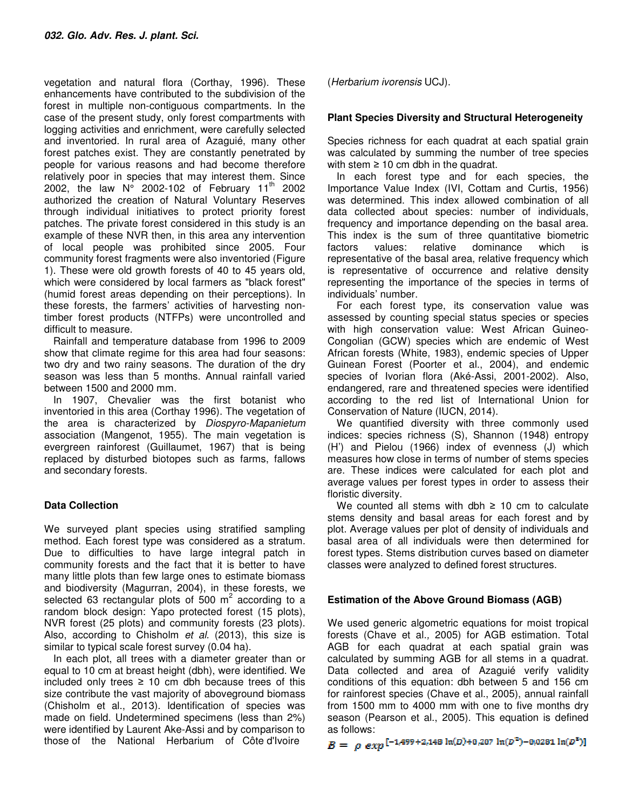vegetation and natural flora (Corthay, 1996). These enhancements have contributed to the subdivision of the forest in multiple non-contiguous compartments. In the case of the present study, only forest compartments with logging activities and enrichment, were carefully selected and inventoried. In rural area of Azaguié, many other forest patches exist. They are constantly penetrated by people for various reasons and had become therefore relatively poor in species that may interest them. Since 2002, the law  $N^{\circ}$  2002-102 of February 11<sup>th</sup> 2002 authorized the creation of Natural Voluntary Reserves through individual initiatives to protect priority forest patches. The private forest considered in this study is an example of these NVR then, in this area any intervention of local people was prohibited since 2005. Four community forest fragments were also inventoried (Figure 1). These were old growth forests of 40 to 45 years old, which were considered by local farmers as "black forest" (humid forest areas depending on their perceptions). In these forests, the farmers' activities of harvesting nontimber forest products (NTFPs) were uncontrolled and difficult to measure.

Rainfall and temperature database from 1996 to 2009 show that climate regime for this area had four seasons: two dry and two rainy seasons. The duration of the dry season was less than 5 months. Annual rainfall varied between 1500 and 2000 mm.

In 1907, Chevalier was the first botanist who inventoried in this area (Corthay 1996). The vegetation of the area is characterized by Diospyro-Mapanietum association (Mangenot, 1955). The main vegetation is evergreen rainforest (Guillaumet, 1967) that is being replaced by disturbed biotopes such as farms, fallows and secondary forests.

## **Data Collection**

We surveyed plant species using stratified sampling method. Each forest type was considered as a stratum. Due to difficulties to have large integral patch in community forests and the fact that it is better to have many little plots than few large ones to estimate biomass and biodiversity (Magurran, 2004), in these forests, we selected 63 rectangular plots of 500  $m^2$  according to a random block design: Yapo protected forest (15 plots), NVR forest (25 plots) and community forests (23 plots). Also, according to Chisholm et al. (2013), this size is similar to typical scale forest survey (0.04 ha).

In each plot, all trees with a diameter greater than or equal to 10 cm at breast height (dbh), were identified. We included only trees  $\geq 10$  cm dbh because trees of this size contribute the vast majority of aboveground biomass (Chisholm et al., 2013). Identification of species was made on field. Undetermined specimens (less than 2%) were identified by Laurent Ake-Assi and by comparison to those of the National Herbarium of Côte d'Ivoire

(Herbarium ivorensis UCJ).

## **Plant Species Diversity and Structural Heterogeneity**

Species richness for each quadrat at each spatial grain was calculated by summing the number of tree species with stem  $\geq 10$  cm dbh in the quadrat.

In each forest type and for each species, the Importance Value Index (IVI, Cottam and Curtis, 1956) was determined. This index allowed combination of all data collected about species: number of individuals, frequency and importance depending on the basal area. This index is the sum of three quantitative biometric factors values: relative dominance which is representative of the basal area, relative frequency which is representative of occurrence and relative density representing the importance of the species in terms of individuals' number.

For each forest type, its conservation value was assessed by counting special status species or species with high conservation value: West African Guineo-Congolian (GCW) species which are endemic of West African forests (White, 1983), endemic species of Upper Guinean Forest (Poorter et al., 2004), and endemic species of Ivorian flora (Aké-Assi, 2001-2002). Also, endangered, rare and threatened species were identified according to the red list of International Union for Conservation of Nature (IUCN, 2014).

We quantified diversity with three commonly used indices: species richness (S), Shannon (1948) entropy (H') and Pielou (1966) index of evenness (J) which measures how close in terms of number of stems species are. These indices were calculated for each plot and average values per forest types in order to assess their floristic diversity.

We counted all stems with dbh  $\geq$  10 cm to calculate stems density and basal areas for each forest and by plot. Average values per plot of density of individuals and basal area of all individuals were then determined for forest types. Stems distribution curves based on diameter classes were analyzed to defined forest structures.

## **Estimation of the Above Ground Biomass (AGB)**

We used generic algometric equations for moist tropical forests (Chave et al., 2005) for AGB estimation. Total AGB for each quadrat at each spatial grain was calculated by summing AGB for all stems in a quadrat. Data collected and area of Azaguié verify validity conditions of this equation: dbh between 5 and 156 cm for rainforest species (Chave et al., 2005), annual rainfall from 1500 mm to 4000 mm with one to five months dry season (Pearson et al., 2005). This equation is defined as follows:

 $B = \rho \exp \left[-1.499 + 2.148 \ln(D) + 0.207 \ln(D^2) - 0.0281 \ln(D^3)\right]$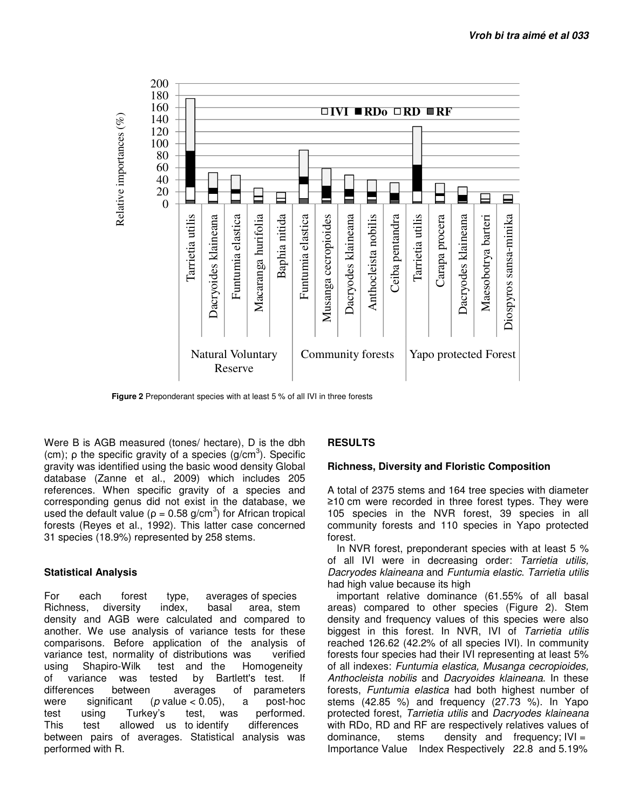

**Figure 2** Preponderant species with at least 5 % of all IVI in three forests

Were B is AGB measured (tones/ hectare), D is the dbh (cm);  $\rho$  the specific gravity of a species (g/cm<sup>3</sup>). Specific gravity was identified using the basic wood density Global database (Zanne et al., 2009) which includes 205 references. When specific gravity of a species and corresponding genus did not exist in the database, we used the default value ( $\rho = 0.58$  g/cm<sup>3</sup>) for African tropical forests (Reyes et al., 1992). This latter case concerned 31 species (18.9%) represented by 258 stems.

#### **Statistical Analysis**

For each forest type, averages of species Richness, diversity index, basal area, stem density and AGB were calculated and compared to another. We use analysis of variance tests for these comparisons. Before application of the analysis of variance test, normality of distributions was verified using Shapiro-Wilk test and the Homogeneity of variance was tested by Bartlett's test. If differences between averages of parameters were significant ( $p$  value < 0.05), a post-hoc<br>test using Turkey's test, was performed. test using Turkey's test, was performed.<br>This test allowed us-to-identify differences This test allowed us to identify between pairs of averages. Statistical analysis was performed with R.

#### **RESULTS**

#### **Richness, Diversity and Floristic Composition**

A total of 2375 stems and 164 tree species with diameter ≥10 cm were recorded in three forest types. They were 105 species in the NVR forest, 39 species in all community forests and 110 species in Yapo protected forest.

In NVR forest, preponderant species with at least 5 % of all IVI were in decreasing order: Tarrietia utilis, Dacryodes klaineana and Funtumia elastic. Tarrietia utilis had high value because its high

important relative dominance (61.55% of all basal areas) compared to other species (Figure 2). Stem density and frequency values of this species were also biggest in this forest. In NVR, IVI of Tarrietia utilis reached 126.62 (42.2% of all species IVI). In community forests four species had their IVI representing at least 5% of all indexes: Funtumia elastica, Musanga cecropioides, Anthocleista nobilis and Dacryoides klaineana. In these forests, Funtumia elastica had both highest number of stems (42.85 %) and frequency (27.73 %). In Yapo protected forest, Tarrietia utilis and Dacryodes klaineana with RDo, RD and RF are respectively relatives values of dominance, stems density and frequency;  $|V| =$ Importance Value Index Respectively 22.8 and 5.19%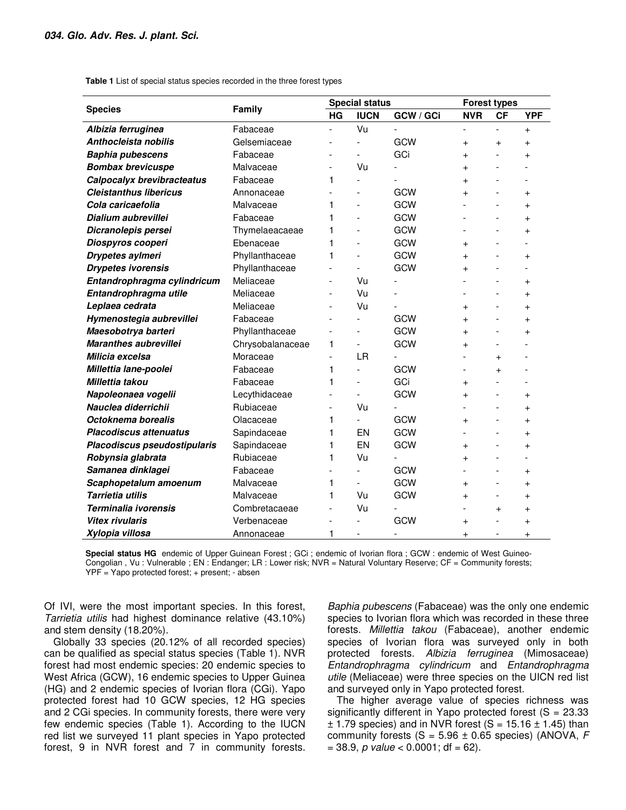**Table 1** List of special status species recorded in the three forest types

| <b>Species</b>                | Family           | <b>Special status</b>    |                |           | <b>Forest types</b>      |           |                |
|-------------------------------|------------------|--------------------------|----------------|-----------|--------------------------|-----------|----------------|
|                               |                  | <b>HG</b>                | <b>IUCN</b>    | GCW / GCi | <b>NVR</b>               | <b>CF</b> | <b>YPF</b>     |
| Albizia ferruginea            | Fabaceae         |                          | Vu             |           |                          |           | $+$            |
| Anthocleista nobilis          | Gelsemiaceae     |                          |                | GCW       | $+$                      | $\ddot{}$ | $+$            |
| <b>Baphia pubescens</b>       | Fabaceae         |                          |                | GCi       | $+$                      |           | $\ddot{}$      |
| <b>Bombax brevicuspe</b>      | Malvaceae        | $\overline{\phantom{a}}$ | Vu             |           | $+$                      |           |                |
| Calpocalyx brevibracteatus    | Fabaceae         | 1                        | ÷.             |           | $\overline{+}$           |           |                |
| <b>Cleistanthus libericus</b> | Annonaceae       | $\overline{a}$           |                | GCW       | $+$                      |           | $\overline{+}$ |
| Cola caricaefolia             | Malvaceae        | 1                        |                | GCW       |                          |           | $\ddot{}$      |
| Dialium aubrevillei           | Fabaceae         | 1                        |                | GCW       |                          |           | $\pmb{+}$      |
| Dicranolepis persei           | Thymelaeacaeae   | 1                        |                | GCW       |                          |           | $\ddot{}$      |
| Diospyros cooperi             | Ebenaceae        | 1                        |                | GCW       | $^{+}$                   |           |                |
| Drypetes aylmeri              | Phyllanthaceae   | 1                        |                | GCW       | $^{+}$                   |           | $\ddot{}$      |
| <b>Drypetes ivorensis</b>     | Phyllanthaceae   | $\overline{a}$           |                | GCW       | $+$                      |           |                |
| Entandrophragma cylindricum   | Meliaceae        | $\overline{\phantom{a}}$ | Vu             |           |                          |           | $\ddot{}$      |
| Entandrophragma utile         | Meliaceae        | $\overline{a}$           | Vu             |           |                          |           | $\ddot{}$      |
| Leplaea cedrata               | Meliaceae        | $\overline{a}$           | Vu             |           | $\ddot{}$                |           | $\ddot{}$      |
| Hymenostegia aubrevillei      | Fabaceae         |                          |                | GCW       | $^{+}$                   |           | $\ddot{}$      |
| Maesobotrya barteri           | Phyllanthaceae   | $\overline{a}$           |                | GCW       | $+$                      |           | $\ddot{}$      |
| <b>Maranthes aubrevillei</b>  | Chrysobalanaceae | 1                        | $\blacksquare$ | GCW       | $\ddot{}$                |           |                |
| Milicia excelsa               | Moraceae         | L.                       | <b>LR</b>      |           |                          | $\ddot{}$ |                |
| Millettia lane-poolei         | Fabaceae         | 1                        | L.             | GCW       | $\overline{\phantom{a}}$ | $^{+}$    |                |
| Millettia takou               | Fabaceae         | 1                        | ÷.             | GCi       | $+$                      |           |                |
| Napoleonaea vogelii           | Lecythidaceae    | $\overline{a}$           |                | GCW       | $\ddot{}$                |           | $\ddot{}$      |
| Nauclea diderrichii           | Rubiaceae        | $\overline{\phantom{0}}$ | Vu             |           |                          |           | $\ddot{}$      |
| Octoknema borealis            | Olacaceae        | 1                        |                | GCW       | $\ddot{}$                |           | $\ddot{}$      |
| <b>Placodiscus attenuatus</b> | Sapindaceae      | 1                        | EN             | GCW       | ÷.                       |           | $\ddot{}$      |
| Placodiscus pseudostipularis  | Sapindaceae      | 1                        | EN             | GCW       | $\ddot{}$                |           | $\ddot{}$      |
| Robynsia glabrata             | Rubiaceae        | 1                        | Vu             |           | $\ddot{}$                |           |                |
| Samanea dinklagei             | Fabaceae         |                          |                | GCW       |                          |           | $\ddot{}$      |
| Scaphopetalum amoenum         | Malvaceae        | 1                        |                | GCW       | $\ddot{}$                |           | $\ddot{}$      |
| Tarrietia utilis              | Malvaceae        | 1                        | Vu             | GCW       | $^{+}$                   | ÷         | $\ddot{}$      |
| Terminalia ivorensis          | Combretacaeae    | $\overline{a}$           | Vu             |           |                          | $+$       | $\ddot{}$      |
| <b>Vitex rivularis</b>        | Verbenaceae      |                          |                | GCW       | $+$                      |           | $\ddot{}$      |
| Xylopia villosa               | Annonaceae       | 1                        |                |           | $\overline{+}$           |           | $\ddot{}$      |

**Special status HG** endemic of Upper Guinean Forest ; GCi ; endemic of Ivorian flora ; GCW : endemic of West Guineo-Congolian , Vu : Vulnerable ; EN : Endanger; LR : Lower risk; NVR = Natural Voluntary Reserve; CF = Community forests; YPF = Yapo protected forest; + present; - absen

Of IVI, were the most important species. In this forest, Tarrietia utilis had highest dominance relative (43.10%) and stem density (18.20%).

Globally 33 species (20.12% of all recorded species) can be qualified as special status species (Table 1). NVR forest had most endemic species: 20 endemic species to West Africa (GCW), 16 endemic species to Upper Guinea (HG) and 2 endemic species of Ivorian flora (CGi). Yapo protected forest had 10 GCW species, 12 HG species and 2 CGi species. In community forests, there were very few endemic species (Table 1). According to the IUCN red list we surveyed 11 plant species in Yapo protected forest, 9 in NVR forest and 7 in community forests.

Baphia pubescens (Fabaceae) was the only one endemic species to Ivorian flora which was recorded in these three forests. Millettia takou (Fabaceae), another endemic species of Ivorian flora was surveyed only in both protected forests. Albizia ferruginea (Mimosaceae) Entandrophragma cylindricum and Entandrophragma utile (Meliaceae) were three species on the UICN red list and surveyed only in Yapo protected forest.

The higher average value of species richness was significantly different in Yapo protected forest  $(S = 23.33)$  $\pm$  1.79 species) and in NVR forest (S = 15.16  $\pm$  1.45) than community forests (S =  $5.96 \pm 0.65$  species) (ANOVA, F  $= 38.9$ , p value < 0.0001; df = 62).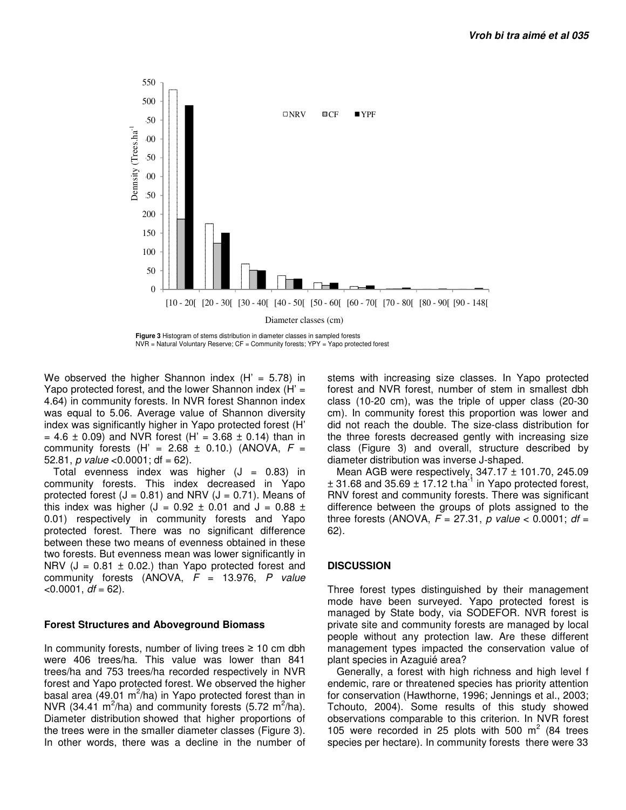

NVR = Natural Voluntary Reserve; CF = Community forests; YPY = Yapo protected forest

We observed the higher Shannon index  $(H' = 5.78)$  in Yapo protected forest, and the lower Shannon index  $(H)$  = 4.64) in community forests. In NVR forest Shannon index was equal to 5.06. Average value of Shannon diversity index was significantly higher in Yapo protected forest (H'  $= 4.6 \pm 0.09$  and NVR forest (H' = 3.68  $\pm$  0.14) than in community forests (H' =  $2.68 \pm 0.10$ .) (ANOVA, F = 52.81, p value <  $0.0001$ ; df = 62).

Total evenness index was higher  $(J = 0.83)$  in community forests. This index decreased in Yapo protected forest  $(J = 0.81)$  and NRV  $(J = 0.71)$ . Means of this index was higher (J =  $0.92 \pm 0.01$  and J =  $0.88 \pm 0.01$ 0.01) respectively in community forests and Yapo protected forest. There was no significant difference between these two means of evenness obtained in these two forests. But evenness mean was lower significantly in NRV ( $J = 0.81 \pm 0.02$ .) than Yapo protected forest and community forests (ANOVA,  $F = 13.976$ , P value  $<$ 0.0001, df = 62).

#### **Forest Structures and Aboveground Biomass**

In community forests, number of living trees  $\geq 10$  cm dbh were 406 trees/ha. This value was lower than 841 trees/ha and 753 trees/ha recorded respectively in NVR forest and Yapo protected forest. We observed the higher basal area (49.01 m<sup>2</sup>/ha) in Yapo protected forest than in NVR (34.41  $m^2/ha$ ) and community forests (5.72  $m^2/ha$ ). Diameter distribution showed that higher proportions of the trees were in the smaller diameter classes (Figure 3). In other words, there was a decline in the number of

stems with increasing size classes. In Yapo protected forest and NVR forest, number of stem in smallest dbh class (10-20 cm), was the triple of upper class (20-30 cm). In community forest this proportion was lower and did not reach the double. The size-class distribution for the three forests decreased gently with increasing size class (Figure 3) and overall, structure described by diameter distribution was inverse J-shaped.

Mean AGB were respectively,  $347.17 \pm 101.70$ , 245.09  $\pm$  31.68 and 35.69  $\pm$  17.12 t.ha<sup>-1</sup> in Yapo protected forest, RNV forest and community forests. There was significant difference between the groups of plots assigned to the three forests (ANOVA,  $F = 27.31$ , p value < 0.0001; df = 62).

## **DISCUSSION**

Three forest types distinguished by their management mode have been surveyed. Yapo protected forest is managed by State body, via SODEFOR. NVR forest is private site and community forests are managed by local people without any protection law. Are these different management types impacted the conservation value of plant species in Azaguié area?

Generally, a forest with high richness and high level f endemic, rare or threatened species has priority attention for conservation (Hawthorne, 1996; Jennings et al., 2003; Tchouto, 2004). Some results of this study showed observations comparable to this criterion. In NVR forest 105 were recorded in 25 plots with 500  $m^2$  (84 trees species per hectare). In community forests there were 33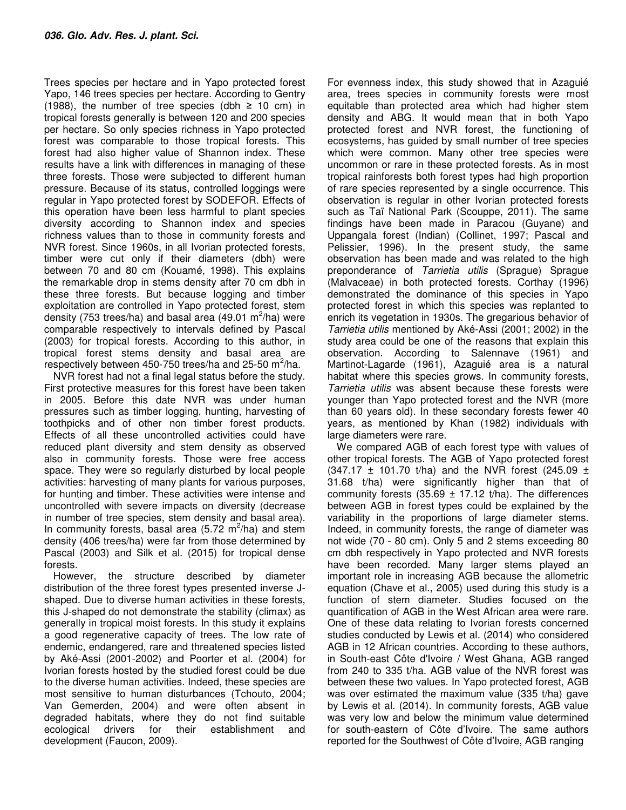Trees species per hectare and in Yapo protected forest Yapo, 146 trees species per hectare. According to Gentry (1988), the number of tree species (dbh  $\geq$  10 cm) in tropical forests generally is between 120 and 200 species per hectare. So only species richness in Yapo protected forest was comparable to those tropical forests. This forest had also higher value of Shannon index. These results have a link with differences in managing of these three forests. Those were subjected to different human pressure. Because of its status, controlled loggings were regular in Yapo protected forest by SODEFOR. Effects of this operation have been less harmful to plant species diversity according to Shannon index and species richness values than to those in community forests and NVR forest. Since 1960s, in all Ivorian protected forests, timber were cut only if their diameters (dbh) were between 70 and 80 cm (Kouamé, 1998). This explains the remarkable drop in stems density after 70 cm dbh in these three forests. But because logging and timber exploitation are controlled in Yapo protected forest, stem density (753 trees/ha) and basal area (49.01 m<sup>2</sup>/ha) were comparable respectively to intervals defined by Pascal (2003) for tropical forests. According to this author, in tropical forest stems density and basal area are respectively between 450-750 trees/ha and 25-50 m<sup>2</sup>/ha.

NVR forest had not a final legal status before the study. First protective measures for this forest have been taken in 2005. Before this date NVR was under human pressures such as timber logging, hunting, harvesting of toothpicks and of other non timber forest products. Effects of all these uncontrolled activities could have reduced plant diversity and stem density as observed also in community forests. Those were free access space. They were so regularly disturbed by local people activities: harvesting of many plants for various purposes, for hunting and timber. These activities were intense and uncontrolled with severe impacts on diversity (decrease in number of tree species, stem density and basal area). In community forests, basal area (5.72  $\mathrm{m}^2$ /ha) and stem density (406 trees/ha) were far from those determined by Pascal (2003) and Silk et al. (2015) for tropical dense forests.

However, the structure described by diameter distribution of the three forest types presented inverse Jshaped. Due to diverse human activities in these forests, this J-shaped do not demonstrate the stability (climax) as generally in tropical moist forests. In this study it explains a good regenerative capacity of trees. The low rate of endemic, endangered, rare and threatened species listed by Aké-Assi (2001-2002) and Poorter et al. (2004) for Ivorian forests hosted by the studied forest could be due to the diverse human activities. Indeed, these species are most sensitive to human disturbances (Tchouto, 2004; Van Gemerden, 2004) and were often absent in degraded habitats, where they do not find suitable ecological drivers for their establishment and development (Faucon, 2009).

For evenness index, this study showed that in Azaguié area, trees species in community forests were most equitable than protected area which had higher stem density and ABG. It would mean that in both Yapo protected forest and NVR forest, the functioning of ecosystems, has guided by small number of tree species which were common. Many other tree species were uncommon or rare in these protected forests. As in most tropical rainforests both forest types had high proportion of rare species represented by a single occurrence. This observation is regular in other Ivorian protected forests such as Taï National Park (Scouppe, 2011). The same findings have been made in Paracou (Guyane) and Uppangala forest (Indian) (Collinet, 1997; Pascal and Pelissier, 1996). In the present study, the same observation has been made and was related to the high preponderance of Tarrietia utilis (Sprague) Sprague (Malvaceae) in both protected forests. Corthay (1996) demonstrated the dominance of this species in Yapo protected forest in which this species was replanted to enrich its vegetation in 1930s. The gregarious behavior of Tarrietia utilis mentioned by Aké-Assi (2001; 2002) in the study area could be one of the reasons that explain this observation. According to Salennave (1961) and Martinot-Lagarde (1961), Azaguié area is a natural habitat where this species grows. In community forests, Tarrietia utilis was absent because these forests were younger than Yapo protected forest and the NVR (more than 60 years old). In these secondary forests fewer 40 years, as mentioned by Khan (1982) individuals with large diameters were rare.

We compared AGB of each forest type with values of other tropical forests. The AGB of Yapo protected forest (347.17  $\pm$  101.70 t/ha) and the NVR forest (245.09  $\pm$ 31.68 t/ha) were significantly higher than that of community forests (35.69  $\pm$  17.12 t/ha). The differences between AGB in forest types could be explained by the variability in the proportions of large diameter stems. Indeed, in community forests, the range of diameter was not wide (70 - 80 cm). Only 5 and 2 stems exceeding 80 cm dbh respectively in Yapo protected and NVR forests have been recorded. Many larger stems played an important role in increasing AGB because the allometric equation (Chave et al., 2005) used during this study is a function of stem diameter. Studies focused on the quantification of AGB in the West African area were rare. One of these data relating to Ivorian forests concerned studies conducted by Lewis et al. (2014) who considered AGB in 12 African countries. According to these authors, in South-east Côte d'Ivoire / West Ghana, AGB ranged from 240 to 335 t/ha. AGB value of the NVR forest was between these two values. In Yapo protected forest, AGB was over estimated the maximum value (335 t/ha) gave by Lewis et al. (2014). In community forests, AGB value was very low and below the minimum value determined for south-eastern of Côte d'Ivoire. The same authors reported for the Southwest of Côte d'Ivoire, AGB ranging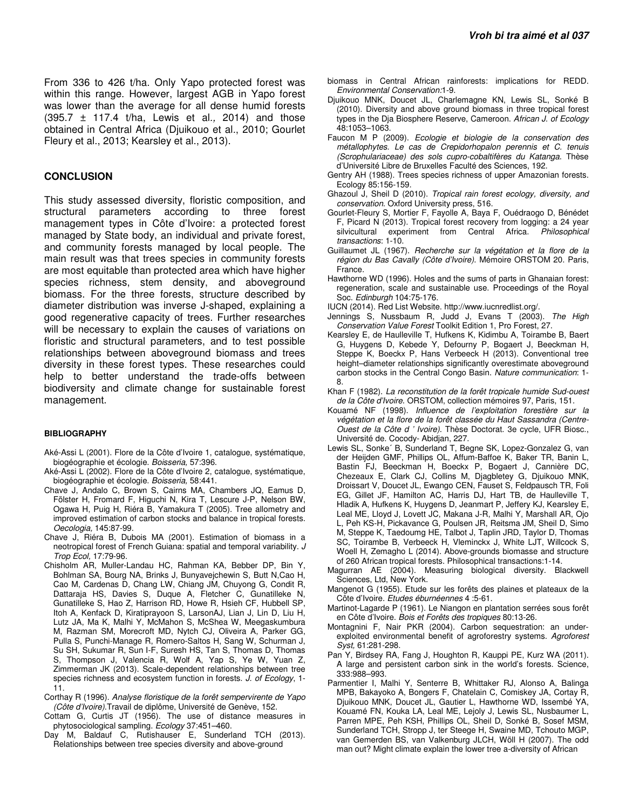From 336 to 426 t/ha. Only Yapo protected forest was within this range. However, largest AGB in Yapo forest was lower than the average for all dense humid forests  $(395.7 \pm 117.4 \text{ t/ha}, \text{ Lewis et al., } 2014)$  and those obtained in Central Africa (Djuikouo et al., 2010; Gourlet Fleury et al., 2013; Kearsley et al., 2013).

### **CONCLUSION**

This study assessed diversity, floristic composition, and structural parameters according to three forest management types in Côte d'Ivoire: a protected forest managed by State body, an individual and private forest, and community forests managed by local people. The main result was that trees species in community forests are most equitable than protected area which have higher species richness, stem density, and aboveground biomass. For the three forests, structure described by diameter distribution was inverse J-shaped, explaining a good regenerative capacity of trees. Further researches will be necessary to explain the causes of variations on floristic and structural parameters, and to test possible relationships between aboveground biomass and trees diversity in these forest types. These researches could help to better understand the trade-offs between biodiversity and climate change for sustainable forest management.

#### **BIBLIOGRAPHY**

- Aké-Assi L (2001). Flore de la Côte d'Ivoire 1, catalogue, systématique, biogéographie et écologie. Boisseria, 57:396.
- Aké-Assi L (2002). Flore de la Côte d'Ivoire 2, catalogue, systématique, biogéographie et écologie. Boisseria, 58:441.
- Chave J, Andalo C, Brown S, Cairns MA, Chambers JQ, Eamus D, Fölster H, Fromard F, Higuchi N, Kira T, Lescure J-P, Nelson BW, Ogawa H, Puig H, Riéra B, Yamakura T (2005). Tree allometry and improved estimation of carbon stocks and balance in tropical forests. Oecologia, 145:87-99.
- Chave J, Riéra B, Dubois MA (2001). Estimation of biomass in a neotropical forest of French Guiana: spatial and temporal variability. J Trop Ecol, 17:79-96.
- Chisholm AR, Muller-Landau HC, Rahman KA, Bebber DP, Bin Y, Bohlman SA, Bourg NA, Brinks J, Bunyavejchewin S, Butt N,Cao H, Cao M, Cardenas D, Chang LW, Chiang JM, Chuyong G, Condit R, Dattaraja HS, Davies S, Duque A, Fletcher C, Gunatilleke N, Gunatilleke S, Hao Z, Harrison RD, Howe R, Hsieh CF, Hubbell SP, Itoh A, Kenfack D, Kiratiprayoon S, LarsonAJ, Lian J, Lin D, Liu H, Lutz JA, Ma K, Malhi Y, McMahon S, McShea W, Meegaskumbura M, Razman SM, Morecroft MD, Nytch CJ, Oliveira A, Parker GG, Pulla S, Punchi-Manage R, Romero-Saltos H, Sang W, Schurman J, Su SH, Sukumar R, Sun I-F, Suresh HS, Tan S, Thomas D, Thomas S, Thompson J, Valencia R, Wolf A, Yap S, Ye W, Yuan Z, Zimmerman JK (2013). Scale-dependent relationships between tree species richness and ecosystem function in forests. J. of Ecology, 1-11.
- Corthay R (1996). Analyse floristique de la forêt sempervirente de Yapo (Côte d'Ivoire).Travail de diplôme, Université de Genève, 152.
- Cottam G, Curtis JT (1956). The use of distance measures in phytosociological sampling. Ecology 37:451–460.
- Day M, Baldauf C, Rutishauser E, Sunderland TCH (2013). Relationships between tree species diversity and above-ground
- biomass in Central African rainforests: implications for REDD. Environmental Conservation:1-9.
- Djuikouo MNK, Doucet JL, Charlemagne KN, Lewis SL, Sonké B (2010). Diversity and above ground biomass in three tropical forest types in the Dja Biosphere Reserve, Cameroon. African J. of Ecology 48:1053–1063.
- Faucon M P (2009). Ecologie et biologie de la conservation des métallophytes. Le cas de Crepidorhopalon perennis et C. tenuis (Scrophulariaceae) des sols cupro-cobaltifères du Katanga. Thèse d'Université Libre de Bruxelles Faculté des Sciences, 192.
- Gentry AH (1988). Trees species richness of upper Amazonian forests. Ecology 85:156-159.
- Ghazoul J, Sheil D (2010). Tropical rain forest ecology, diversity, and conservation. Oxford University press, 516.
- Gourlet-Fleury S, Mortier F, Fayolle A, Baya F, Ouédraogo D, Bénédet F, Picard N (2013). Tropical forest recovery from logging: a 24 year silvicultural experiment from Central Africa. Philosophical transactions: 1-10.
- Guillaumet JL (1967). Recherche sur la végétation et la flore de la région du Bas Cavally (Côte d'Ivoire). Mémoire ORSTOM 20. Paris, France.
- Hawthorne WD (1996). Holes and the sums of parts in Ghanaian forest: regeneration, scale and sustainable use. Proceedings of the Royal Soc. Edinburgh 104:75-176.
- IUCN (2014). Red List Website. http://www.iucnredlist.org/.
- Jennings S, Nussbaum R, Judd J, Evans T (2003). The High Conservation Value Forest Toolkit Edition 1, Pro Forest, 27.
- Kearsley E, de Haulleville T, Hufkens K, Kidimbu A, Toirambe B, Baert G, Huygens D, Kebede Y, Defourny P, Bogaert J, Beeckman H, Steppe K, Boeckx P, Hans Verbeeck H (2013). Conventional tree height–diameter relationships significantly overestimate aboveground carbon stocks in the Central Congo Basin. Nature communication: 1- 8.
- Khan F (1982). La reconstitution de la forêt tropicale humide Sud-ouest de la Côte d'Ivoire. ORSTOM, collection mémoires 97, Paris, 151.
- Kouamé NF (1998). Influence de l'exploitation forestière sur la végétation et la flore de la forêt classée du Haut Sassandra (Centre-Ouest de la Côte d ' Ivoire). Thèse Doctorat. 3e cycle, UFR Biosc., Université de. Cocody- Abidjan, 227.
- Lewis SL, Sonke´ B, Sunderland T, Begne SK, Lopez-Gonzalez G, van der Heijden GMF, Phillips OL, Affum-Baffoe K, Baker TR, Banin L, Bastin FJ, Beeckman H, Boeckx P, Bogaert J, Cannière DC, Chezeaux E, Clark CJ, Collins M, Djagbletey G, Djuikouo MNK, Droissart V, Doucet JL, Ewango CEN, Fauset S, Feldpausch TR, Foli EG, Gillet JF, Hamilton AC, Harris DJ, Hart TB, de Haulleville T, Hladik A, Hufkens K, Huygens D, Jeanmart P, Jeffery KJ, Kearsley E, Leal ME, Lloyd J, Lovett JC, Makana J-R, Malhi Y, Marshall AR, Ojo L, Peh KS-H, Pickavance G, Poulsen JR, Reitsma JM, Sheil D, Simo M, Steppe K, Taedoumg HE, Talbot J, Taplin JRD, Taylor D, Thomas SC, Toirambe B, Verbeeck H, Vleminckx J, White LJT, Willcock S, Woell H, Zemagho L (2014). Above-grounds biomasse and structure of 260 African tropical forests. Philosophical transactions:1-14.
- Magurran AE (2004). Measuring biological diversity. Blackwell Sciences, Ltd, New York.
- Mangenot G (1955). Etude sur les forêts des plaines et plateaux de la Côte d'Ivoire. Etudes éburnéennes 4 :5-61.
- Martinot-Lagarde P (1961). Le Niangon en plantation serrées sous forêt en Côte d'Ivoire. Bois et Forêts des tropiques 80:13-26.
- Montagnini F, Nair PKR (2004). Carbon sequestration: an underexploited environmental benefit of agroforestry systems. Agroforest Syst, 61:281-298.
- Pan Y, Birdsey RA, Fang J, Houghton R, Kauppi PE, Kurz WA (2011). A large and persistent carbon sink in the world's forests. Science, 333:988–993.
- Parmentier I, Malhi Y, Senterre B, Whittaker RJ, Alonso A, Balinga MPB, Bakayoko A, Bongers F, Chatelain C, Comiskey JA, Cortay R, Djuikouo MNK, Doucet JL, Gautier L, Hawthorne WD, Issembé YA, Kouamé FN, Kouka LA, Leal ME, Lejoly J, Lewis SL, Nusbaumer L, Parren MPE, Peh KSH, Phillips OL, Sheil D, Sonké B, Sosef MSM, Sunderland TCH, Stropp J, ter Steege H, Swaine MD, Tchouto MGP, van Gemerden BS, van Valkenburg JLCH, Wöll H (2007). The odd man out? Might climate explain the lower tree a-diversity of African